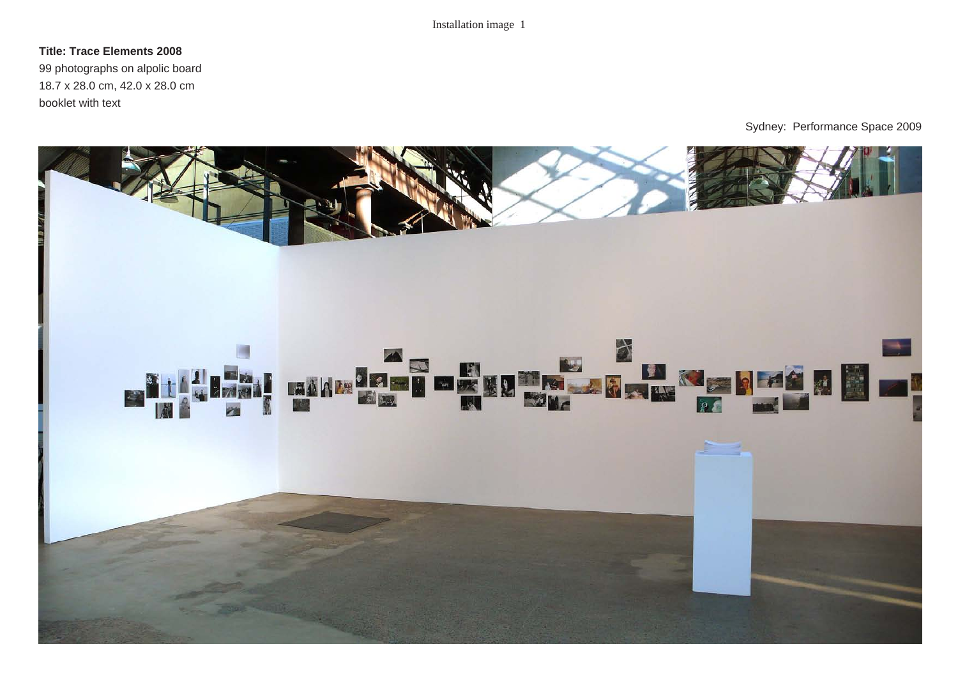### **Title: Trace Elements 2008**

99 photographs on alpolic board 18.7 x 28.0 cm, 42.0 x 28.0 cm booklet with text

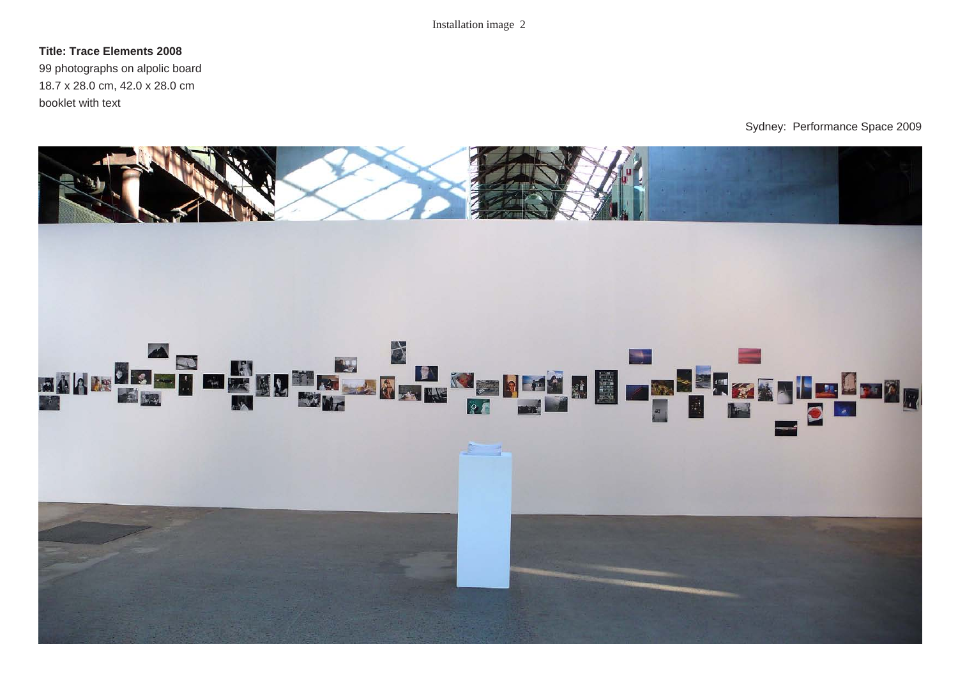#### **Title: Trace Elements 2008**

99 photographs on alpolic board 18.7 x 28.0 cm, 42.0 x 28.0 cm booklet with text

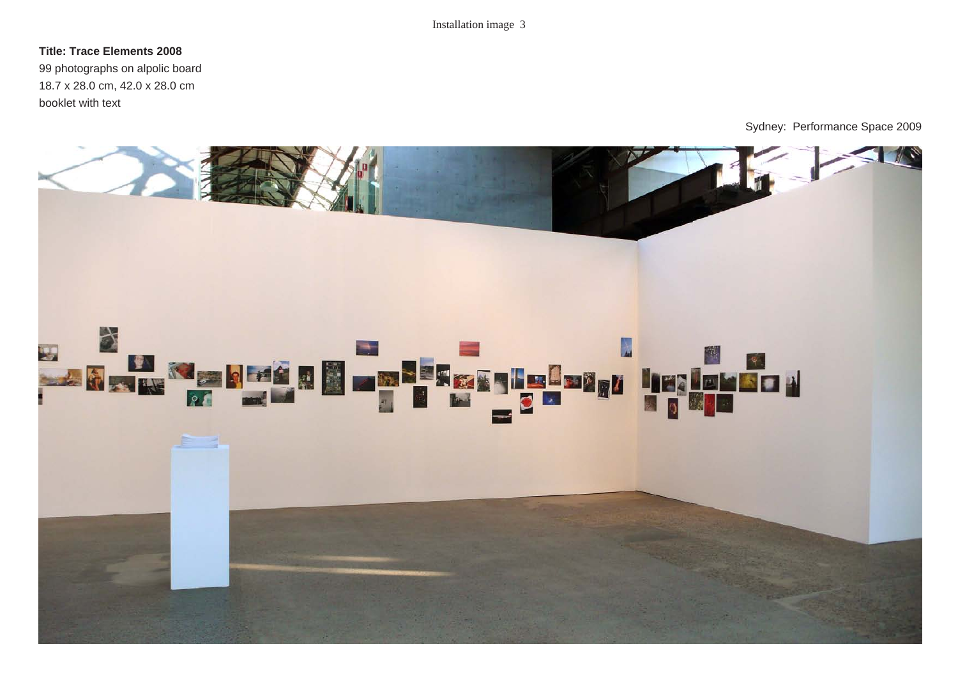#### **Title: Trace Elements 2008**

99 photographs on alpolic board 18.7 x 28.0 cm, 42.0 x 28.0 cm booklet with text

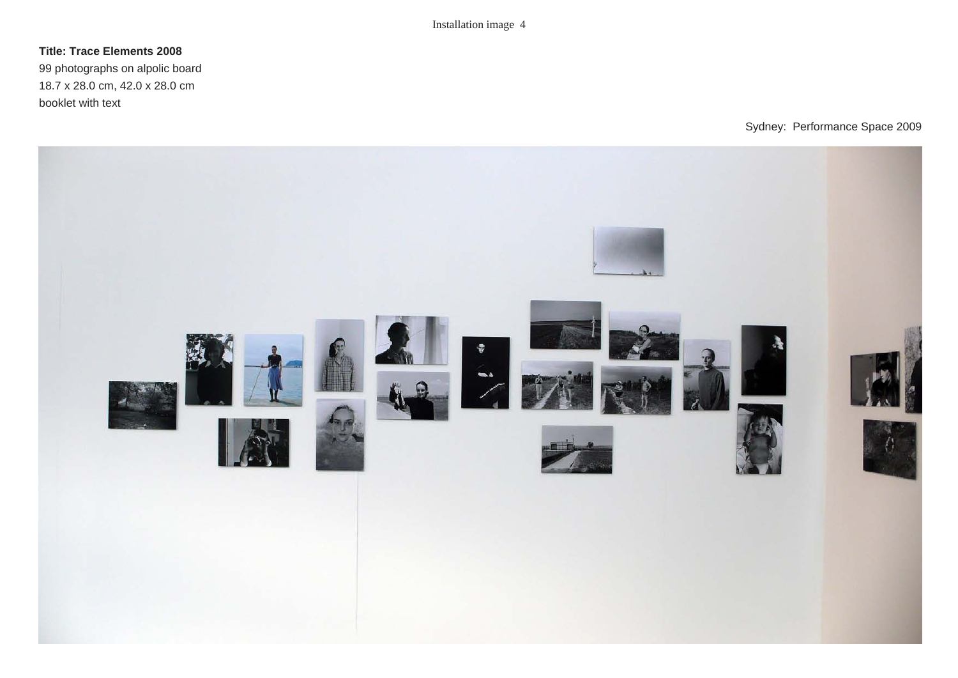# **Title: Trace Elements 2008**

99 photographs on alpolic board 18.7 x 28.0 cm, 42.0 x 28.0 cm booklet with text

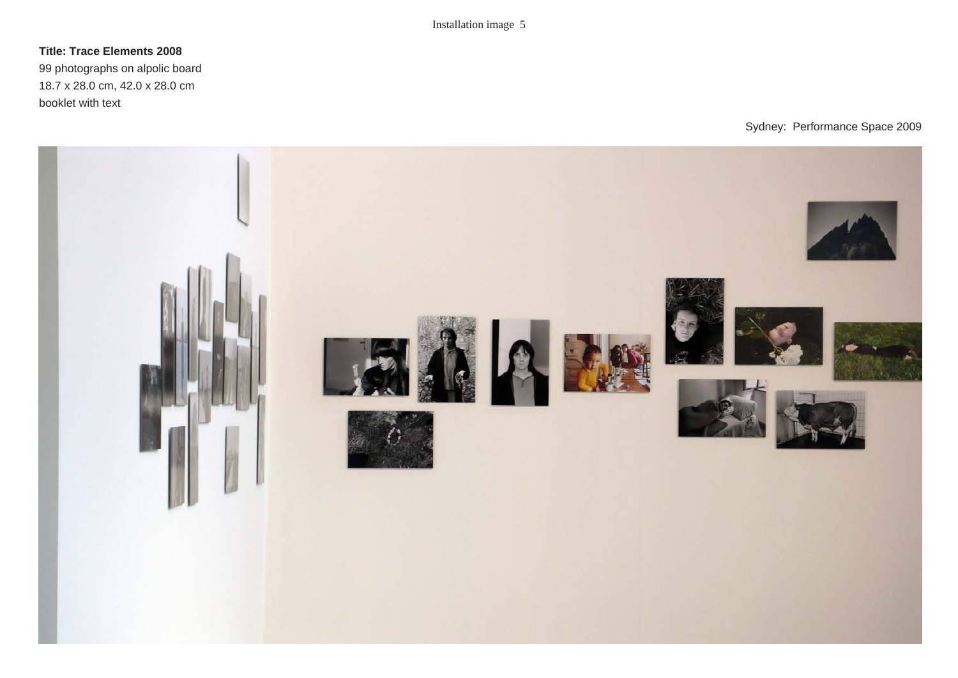# **Title: Trace Elements 2008**

99 photographs on alpolic board 18.7 x 28.0 cm, 42.0 x 28.0 cm booklet with text

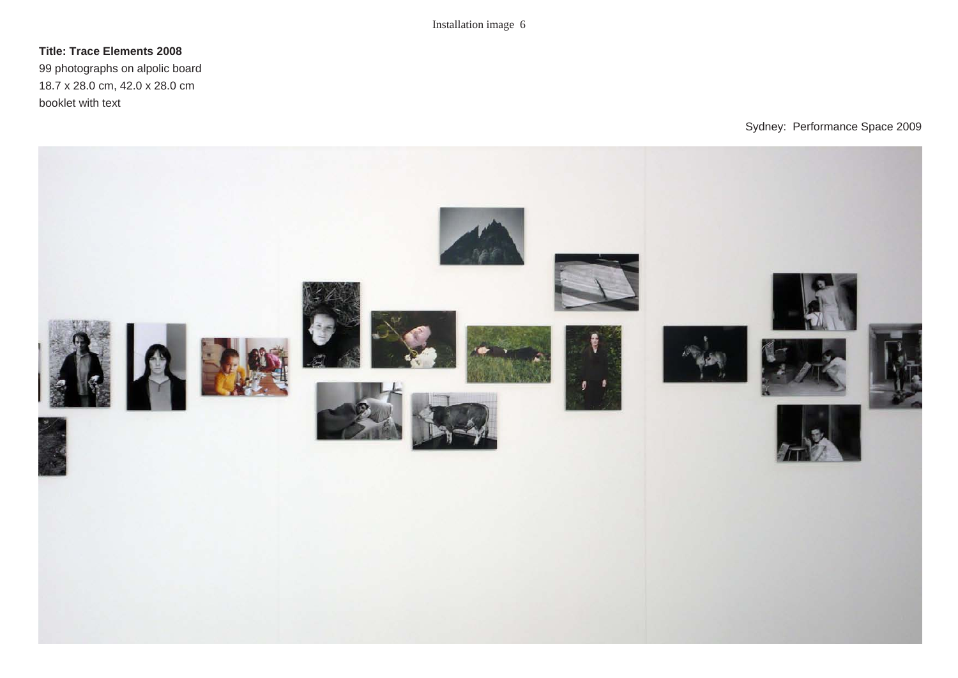## **Title: Trace Elements 2008**

99 photographs on alpolic board 18.7 x 28.0 cm, 42.0 x 28.0 cm booklet with text

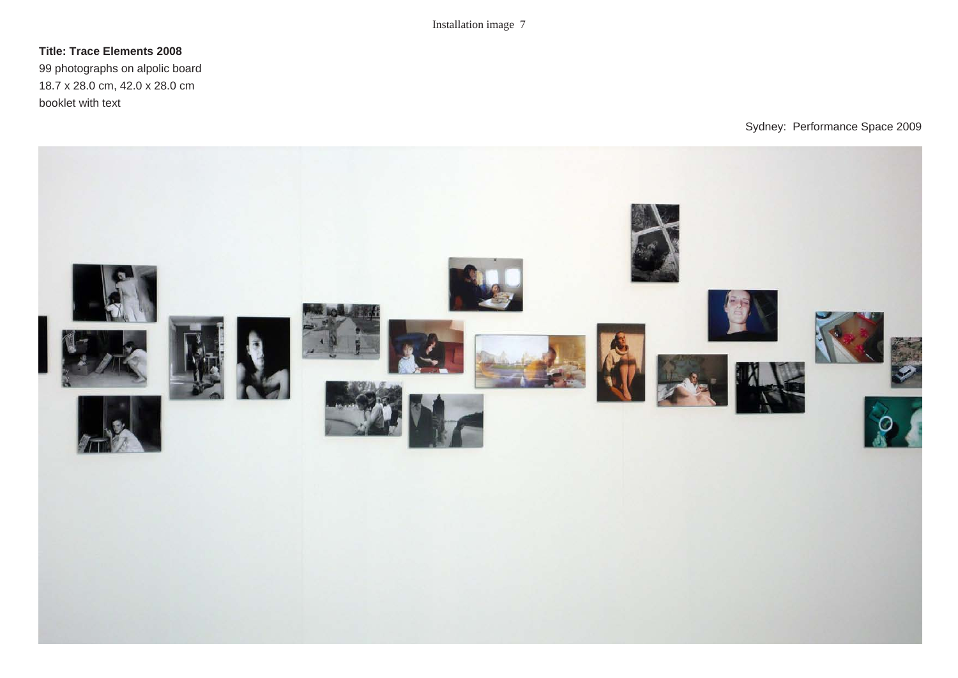# **Title: Trace Elements 2008**

99 photographs on alpolic board 18.7 x 28.0 cm, 42.0 x 28.0 cm booklet with text

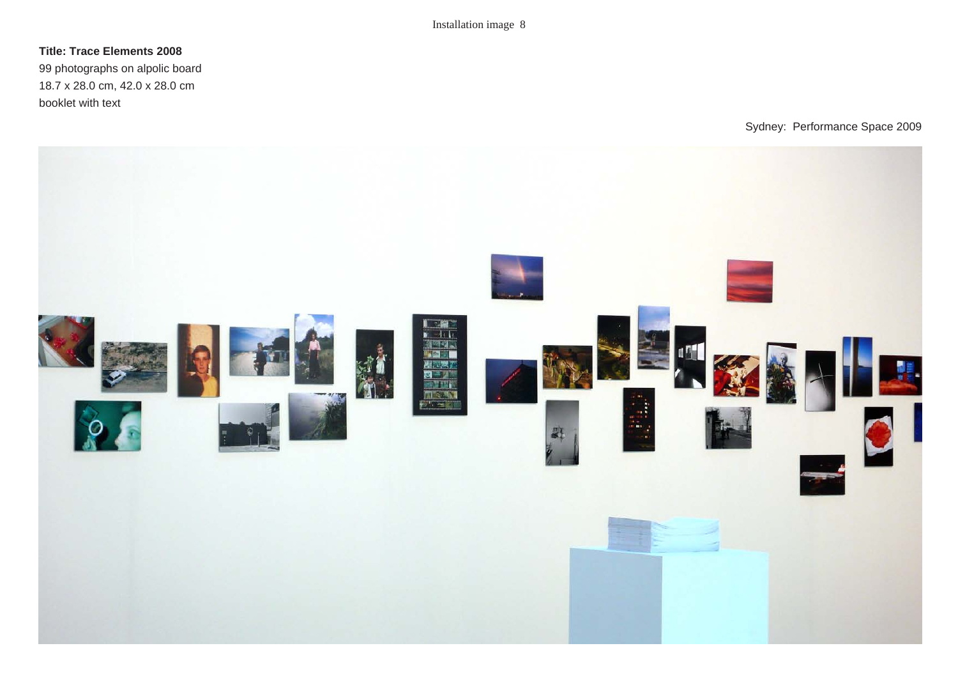## **Title: Trace Elements 2008**

99 photographs on alpolic board 18.7 x 28.0 cm, 42.0 x 28.0 cm booklet with text

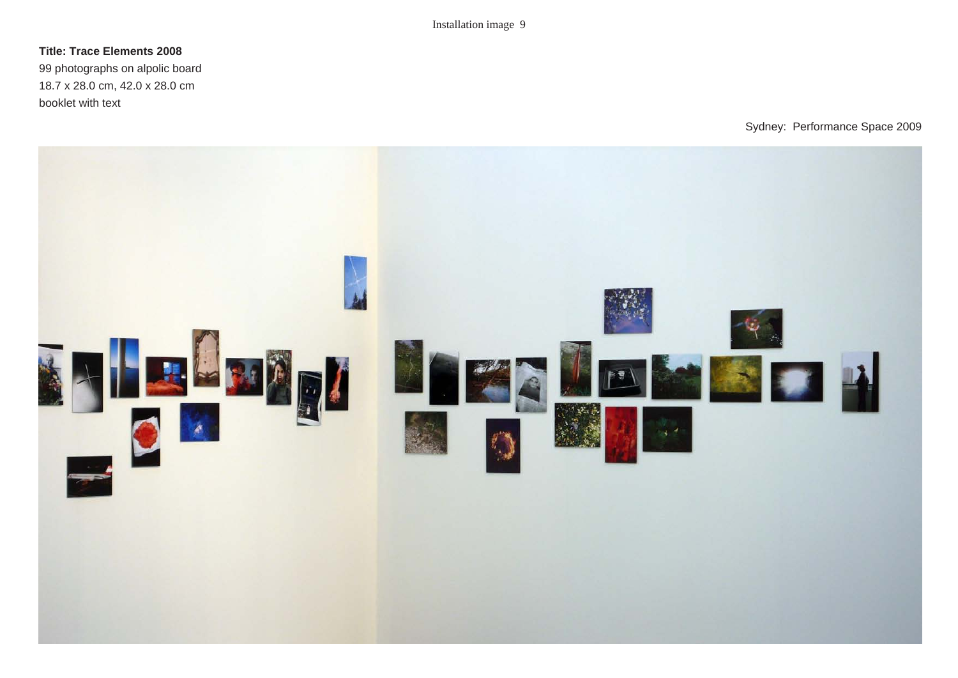#### **Title: Trace Elements 2008**

99 photographs on alpolic board 18.7 x 28.0 cm, 42.0 x 28.0 cm booklet with text

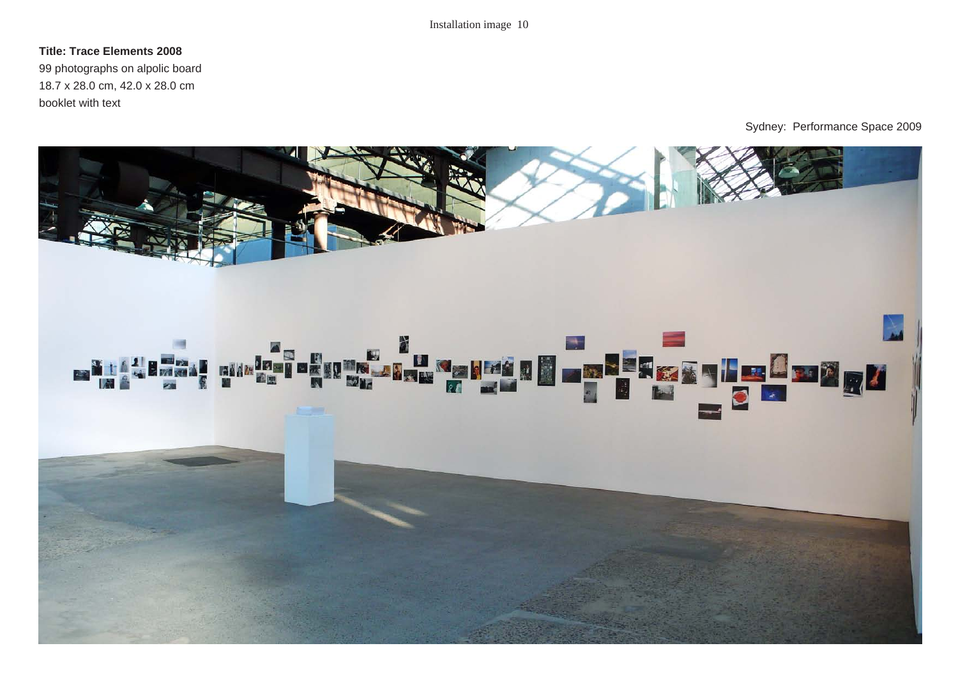#### **Title: Trace Elements 2008**

99 photographs on alpolic board 18.7 x 28.0 cm, 42.0 x 28.0 cm booklet with text

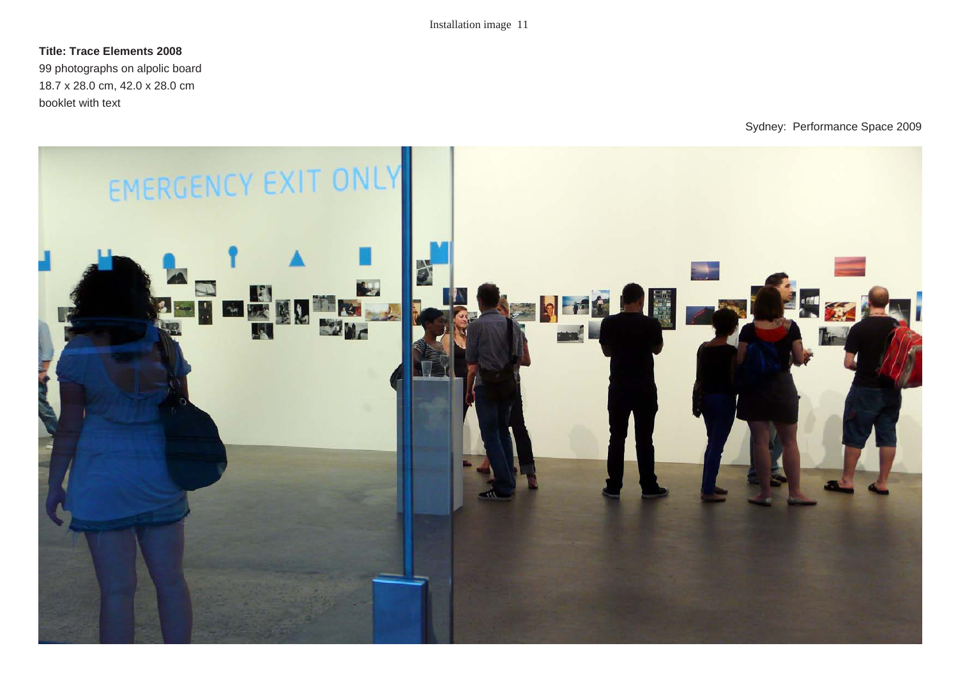### **Title: Trace Elements 2008**

99 photographs on alpolic board 18.7 x 28.0 cm, 42.0 x 28.0 cm booklet with text

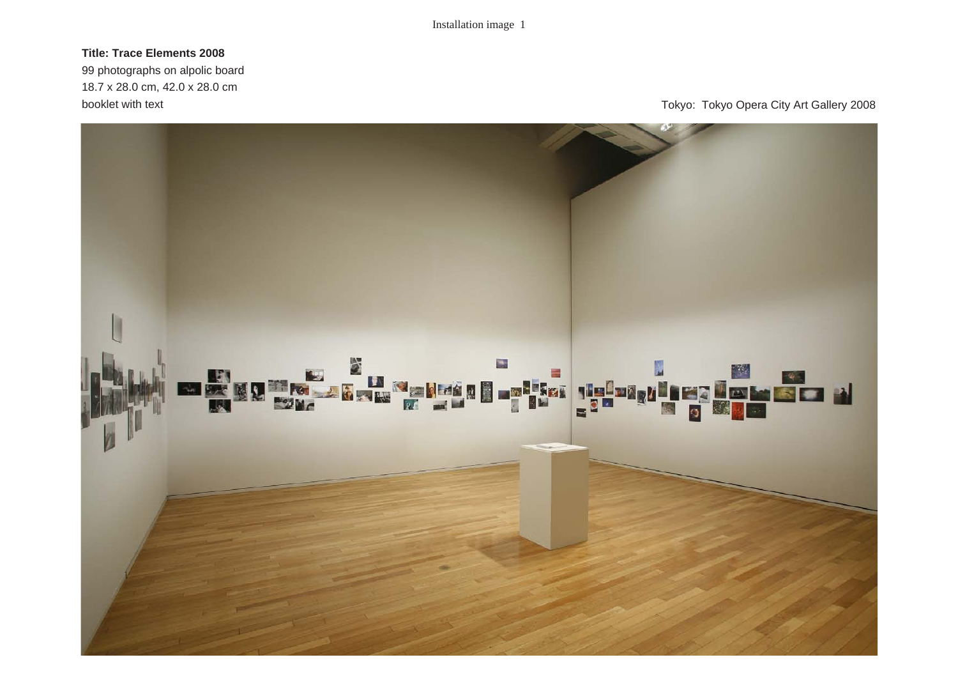# **Title: Trace Elements 2008**

99 photographs on alpolic board 18.7 x 28.0 cm, 42.0 x 28.0 cm

booklet with text **Tokyo:** Tokyo: Tokyo Opera City Art Gallery 2008